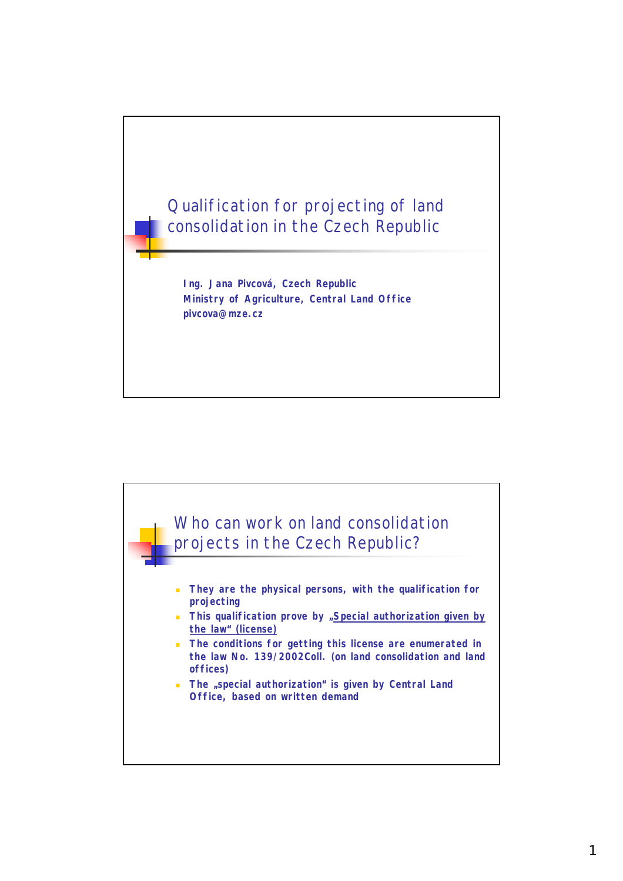

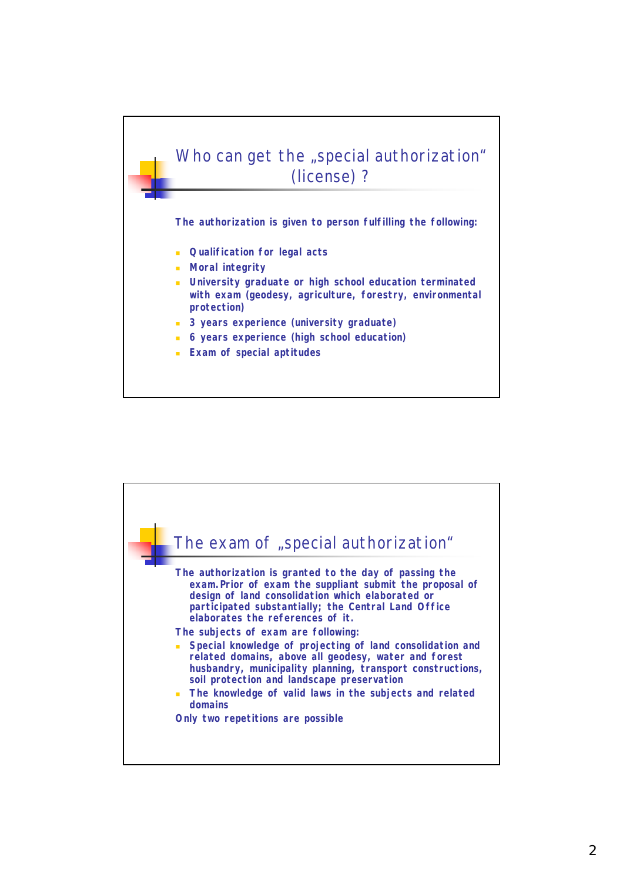

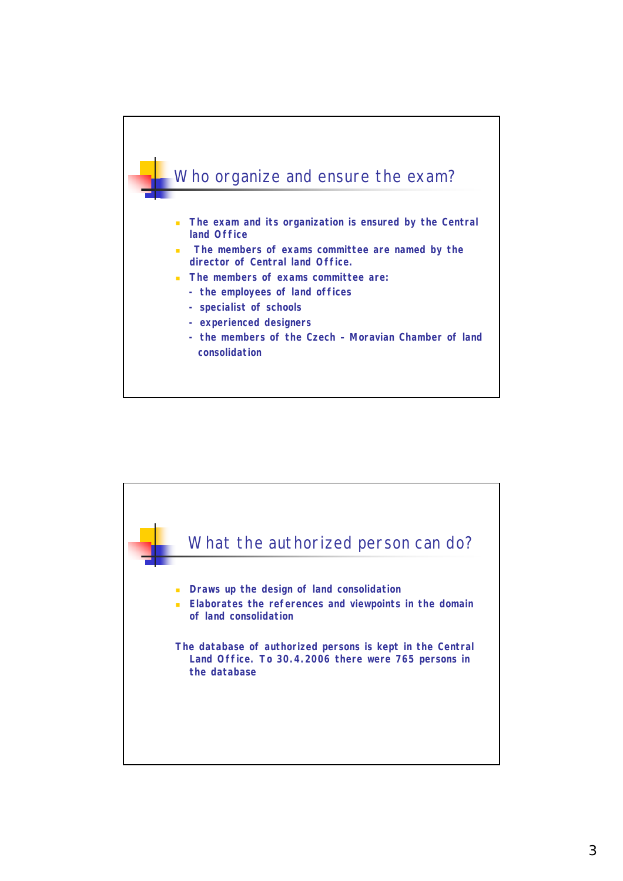